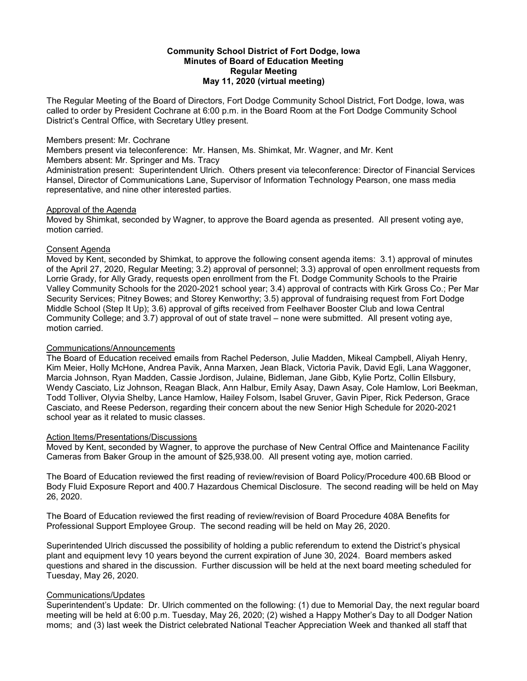#### **Community School District of Fort Dodge, Iowa Minutes of Board of Education Meeting Regular Meeting May 11, 2020 (virtual meeting)**

The Regular Meeting of the Board of Directors, Fort Dodge Community School District, Fort Dodge, Iowa, was called to order by President Cochrane at 6:00 p.m. in the Board Room at the Fort Dodge Community School District's Central Office, with Secretary Utley present.

#### Members present: Mr. Cochrane

Members present via teleconference: Mr. Hansen, Ms. Shimkat, Mr. Wagner, and Mr. Kent

Members absent: Mr. Springer and Ms. Tracy

Administration present: Superintendent Ulrich. Others present via teleconference: Director of Financial Services Hansel, Director of Communications Lane, Supervisor of Information Technology Pearson, one mass media representative, and nine other interested parties.

#### Approval of the Agenda

Moved by Shimkat, seconded by Wagner, to approve the Board agenda as presented. All present voting aye, motion carried.

# Consent Agenda

Moved by Kent, seconded by Shimkat, to approve the following consent agenda items: 3.1) approval of minutes of the April 27, 2020, Regular Meeting; 3.2) approval of personnel; 3.3) approval of open enrollment requests from Lorrie Grady, for Ally Grady, requests open enrollment from the Ft. Dodge Community Schools to the Prairie Valley Community Schools for the 2020-2021 school year; 3.4) approval of contracts with Kirk Gross Co.; Per Mar Security Services; Pitney Bowes; and Storey Kenworthy; 3.5) approval of fundraising request from Fort Dodge Middle School (Step It Up); 3.6) approval of gifts received from Feelhaver Booster Club and Iowa Central Community College; and 3.7) approval of out of state travel – none were submitted. All present voting aye, motion carried.

# Communications/Announcements

The Board of Education received emails from Rachel Pederson, Julie Madden, Mikeal Campbell, Aliyah Henry, Kim Meier, Holly McHone, Andrea Pavik, Anna Marxen, Jean Black, Victoria Pavik, David Egli, Lana Waggoner, Marcia Johnson, Ryan Madden, Cassie Jordison, Julaine, Bidleman, Jane Gibb, Kylie Portz, Collin Ellsbury, Wendy Casciato, Liz Johnson, Reagan Black, Ann Halbur, Emily Asay, Dawn Asay, Cole Hamlow, Lori Beekman, Todd Tolliver, Olyvia Shelby, Lance Hamlow, Hailey Folsom, Isabel Gruver, Gavin Piper, Rick Pederson, Grace Casciato, and Reese Pederson, regarding their concern about the new Senior High Schedule for 2020-2021 school year as it related to music classes.

# Action Items/Presentations/Discussions

Moved by Kent, seconded by Wagner, to approve the purchase of New Central Office and Maintenance Facility Cameras from Baker Group in the amount of \$25,938.00. All present voting aye, motion carried.

The Board of Education reviewed the first reading of review/revision of Board Policy/Procedure 400.6B Blood or Body Fluid Exposure Report and 400.7 Hazardous Chemical Disclosure. The second reading will be held on May 26, 2020.

The Board of Education reviewed the first reading of review/revision of Board Procedure 408A Benefits for Professional Support Employee Group. The second reading will be held on May 26, 2020.

Superintended Ulrich discussed the possibility of holding a public referendum to extend the District's physical plant and equipment levy 10 years beyond the current expiration of June 30, 2024. Board members asked questions and shared in the discussion. Further discussion will be held at the next board meeting scheduled for Tuesday, May 26, 2020.

# Communications/Updates

Superintendent's Update: Dr. Ulrich commented on the following: (1) due to Memorial Day, the next regular board meeting will be held at 6:00 p.m. Tuesday, May 26, 2020; (2) wished a Happy Mother's Day to all Dodger Nation moms; and (3) last week the District celebrated National Teacher Appreciation Week and thanked all staff that